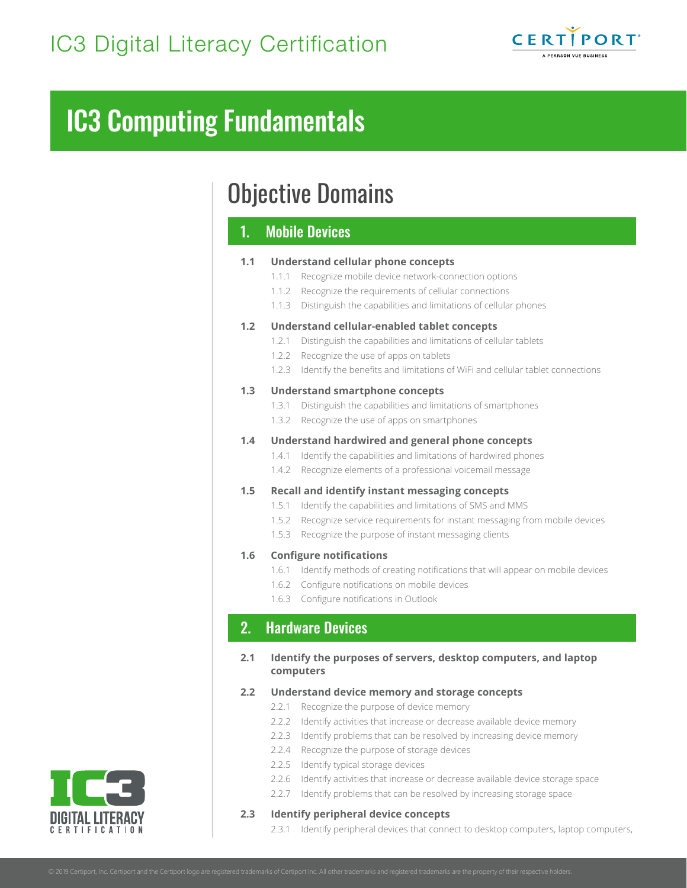

# Objective Domains

# 1. Mobile Devices

## **1.1 Understand cellular phone concepts** 1.1.1 Recognize mobile device network-connection options

- 1.1.2 Recognize the requirements of cellular connections
- 1.1.3 Distinguish the capabilities and limitations of cellular phones

# **1.2 Understand cellular-enabled tablet concepts**

- 1.2.1 Distinguish the capabilities and limitations of cellular tablets
- 1.2.2 Recognize the use of apps on tablets
- 1.2.3 Identify the benefits and limitations of WiFi and cellular tablet connections

# **1.3 Understand smartphone concepts**

- 1.3.1 Distinguish the capabilities and limitations of smartphones
- 1.3.2 Recognize the use of apps on smartphones

# **1.4 Understand hardwired and general phone concepts**

- 1.4.1 Identify the capabilities and limitations of hardwired phones
- 1.4.2 Recognize elements of a professional voicemail message

# **1.5 Recall and identify instant messaging concepts**

- 1.5.1 Identify the capabilities and limitations of SMS and MMS
- 1.5.2 Recognize service requirements for instant messaging from mobile devices
- 1.5.3 Recognize the purpose of instant messaging clients

# **1.6 Configure notifications**

- 1.6.1 Identify methods of creating notifications that will appear on mobile devices
- 1.6.2 Configure notifications on mobile devices
- 1.6.3 Configure notifications in Outlook

# 2. Hardware Devices

**2.1 Identify the purposes of servers, desktop computers, and laptop computers**

# **2.2 Understand device memory and storage concepts**

- 2.2.1 Recognize the purpose of device memory
- 2.2.2 Identify activities that increase or decrease available device memory
- 2.2.3 Identify problems that can be resolved by increasing device memory
- 2.2.4 Recognize the purpose of storage devices
- 2.2.5 Identify typical storage devices
- 2.2.6 Identify activities that increase or decrease available device storage space
- 2.2.7 Identify problems that can be resolved by increasing storage space

# **2.3 Identify peripheral device concepts**

2.3.1 Identify peripheral devices that connect to desktop computers, laptop computers,

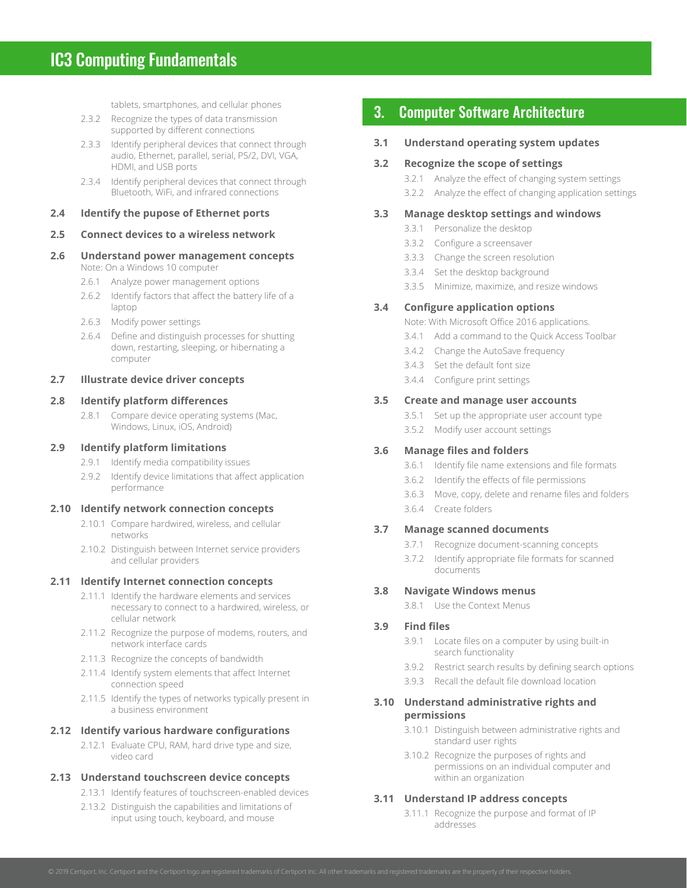tablets, smartphones, and cellular phones

- 2.3.2 Recognize the types of data transmission supported by different connections
- 2.3.3 Identify peripheral devices that connect through audio, Ethernet, parallel, serial, PS/2, DVI, VGA, HDMI, and USB ports
- 2.3.4 Identify peripheral devices that connect through Bluetooth, WiFi, and infrared connections

#### **2.4 Identify the pupose of Ethernet ports**

## **2.5 Connect devices to a wireless network**

#### **2.6 Understand power management concepts**  Note: On a Windows 10 computer

- 2.6.1 Analyze power management options
- 2.6.2 Identify factors that affect the battery life of a laptop
- 2.6.3 Modify power settings
- 2.6.4 Define and distinguish processes for shutting down, restarting, sleeping, or hibernating a computer

## **2.7 Illustrate device driver concepts**

## **2.8 Identify platform differences**

2.8.1 Compare device operating systems (Mac, Windows, Linux, iOS, Android)

#### **2.9 Identify platform limitations**

- 2.9.1 Identify media compatibility issues
- 2.9.2 Identify device limitations that affect application performance

#### **2.10 Identify network connection concepts**

- 2.10.1 Compare hardwired, wireless, and cellular networks
- 2.10.2 Distinguish between Internet service providers and cellular providers

#### **2.11 Identify Internet connection concepts**

- 2.11.1 Identify the hardware elements and services necessary to connect to a hardwired, wireless, or cellular network
- 2.11.2 Recognize the purpose of modems, routers, and network interface cards
- 2.11.3 Recognize the concepts of bandwidth
- 2.11.4 Identify system elements that affect Internet connection speed
- 2.11.5 Identify the types of networks typically present in a business environment

### **2.12 Identify various hardware configurations**

2.12.1 Evaluate CPU, RAM, hard drive type and size, video card

#### **2.13 Understand touchscreen device concepts**

- 2.13.1 Identify features of touchscreen-enabled devices
- 2.13.2 Distinguish the capabilities and limitations of input using touch, keyboard, and mouse

# 3. Computer Software Architecture

# **3.1 Understand operating system updates**

# **3.2 Recognize the scope of settings**

- 3.2.1 Analyze the effect of changing system settings
- 3.2.2 Analyze the effect of changing application settings

# **3.3 Manage desktop settings and windows**

- 3.3.1 Personalize the desktop
- 3.3.2 Configure a screensaver
- 3.3.3 Change the screen resolution
- 3.3.4 Set the desktop background
- 3.3.5 Minimize, maximize, and resize windows

# **3.4 Configure application options**

Note: With Microsoft Office 2016 applications.

- 3.4.1 Add a command to the Quick Access Toolbar
- 3.4.2 Change the AutoSave frequency
- 3.4.3 Set the default font size
- 3.4.4 Configure print settings

# **3.5 Create and manage user accounts**

- 3.5.1 Set up the appropriate user account type
- 3.5.2 Modify user account settings

# **3.6 Manage files and folders**

- 3.6.1 Identify file name extensions and file formats
- 3.6.2 Identify the effects of file permissions
- 3.6.3 Move, copy, delete and rename files and folders
- 3.6.4 Create folders

# **3.7 Manage scanned documents**

- 3.7.1 Recognize document-scanning concepts
- 3.7.2 Identify appropriate file formats for scanned documents

# **3.8 Navigate Windows menus**

3.8.1 Use the Context Menus

# **3.9 Find files**

- 3.9.1 Locate files on a computer by using built-in search functionality
- 3.9.2 Restrict search results by defining search options
- 3.9.3 Recall the default file download location

## **3.10 Understand administrative rights and permissions**

- 3.10.1 Distinguish between administrative rights and standard user rights
- 3.10.2 Recognize the purposes of rights and permissions on an individual computer and within an organization

# **3.11 Understand IP address concepts**

3.11.1 Recognize the purpose and format of IP addresses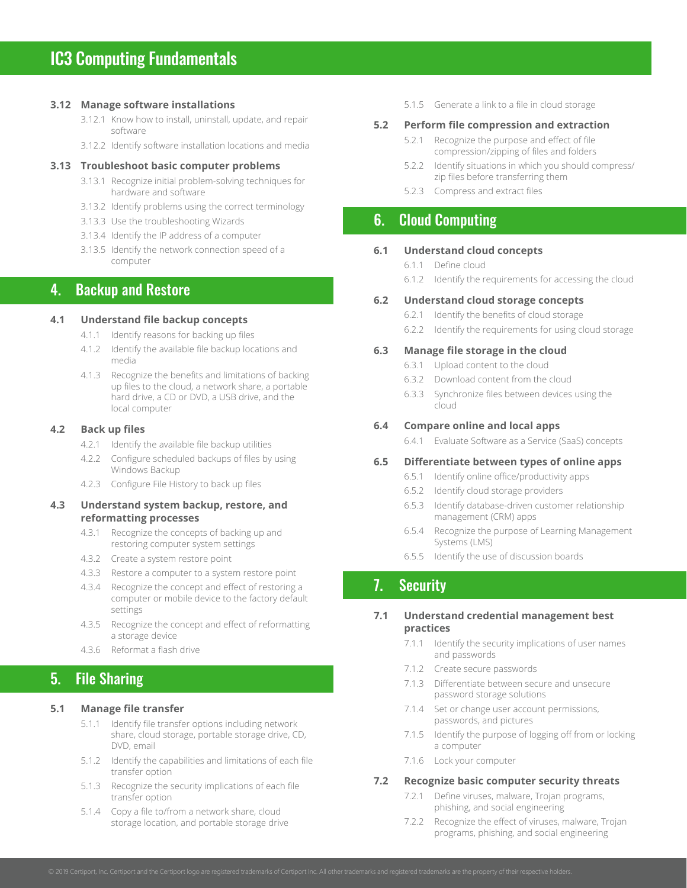#### **3.12 Manage software installations**

- 3.12.1 Know how to install, uninstall, update, and repair software
- 3.12.2 Identify software installation locations and media

#### **3.13 Troubleshoot basic computer problems**

- 3.13.1 Recognize initial problem-solving techniques for hardware and software
- 3.13.2 Identify problems using the correct terminology
- 3.13.3 Use the troubleshooting Wizards
- 3.13.4 Identify the IP address of a computer
- 3.13.5 Identify the network connection speed of a computer

# 4. Backup and Restore

## **4.1 Understand file backup concepts**

- 4.1.1 Identify reasons for backing up files
- 4.1.2 Identify the available file backup locations and media
- 4.1.3 Recognize the benefits and limitations of backing up files to the cloud, a network share, a portable hard drive, a CD or DVD, a USB drive, and the local computer

#### **4.2 Back up files**

- 4.2.1 Identify the available file backup utilities
- 4.2.2 Configure scheduled backups of files by using Windows Backup
- 4.2.3 Configure File History to back up files

## **4.3 Understand system backup, restore, and reformatting processes**

- 4.3.1 Recognize the concepts of backing up and restoring computer system settings
- 4.3.2 Create a system restore point
- 4.3.3 Restore a computer to a system restore point
- 4.3.4 Recognize the concept and effect of restoring a computer or mobile device to the factory default settings
- 4.3.5 Recognize the concept and effect of reformatting a storage device
- 4.3.6 Reformat a flash drive

# 5. File Sharing

## **5.1 Manage file transfer**

- 5.1.1 Identify file transfer options including network share, cloud storage, portable storage drive, CD, DVD, email
- 5.1.2 Identify the capabilities and limitations of each file transfer option
- 5.1.3 Recognize the security implications of each file transfer option
- 5.1.4 Copy a file to/from a network share, cloud storage location, and portable storage drive

5.1.5 Generate a link to a file in cloud storage

#### **5.2 Perform file compression and extraction**

- 5.2.1 Recognize the purpose and effect of file compression/zipping of files and folders
- 5.2.2 Identify situations in which you should compress/ zip files before transferring them
- 5.2.3 Compress and extract files

# 6. Cloud Computing

#### **6.1 Understand cloud concepts**

- 6.1.1 Define cloud
- 6.1.2 Identify the requirements for accessing the cloud

#### **6.2 Understand cloud storage concepts**

- 6.2.1 Identify the benefits of cloud storage
- 6.2.2 Identify the requirements for using cloud storage

#### **6.3 Manage file storage in the cloud**

- 6.3.1 Upload content to the cloud
- 6.3.2 Download content from the cloud
- 6.3.3 Synchronize files between devices using the cloud

### **6.4 Compare online and local apps**

6.4.1 Evaluate Software as a Service (SaaS) concepts

# **6.5 Differentiate between types of online apps**

- 6.5.1 Identify online office/productivity apps
- 6.5.2 Identify cloud storage providers
- 6.5.3 Identify database-driven customer relationship management (CRM) apps
- 6.5.4 Recognize the purpose of Learning Management Systems (LMS)
- 6.5.5 Identify the use of discussion boards

# 7. Security

## **7.1 Understand credential management best practices**

- 7.1.1 Identify the security implications of user names and passwords
- 7.1.2 Create secure passwords
- 7.1.3 Differentiate between secure and unsecure password storage solutions
- 7.1.4 Set or change user account permissions, passwords, and pictures
- 7.1.5 Identify the purpose of logging off from or locking a computer
- 7.1.6 Lock your computer

#### **7.2 Recognize basic computer security threats**

- 7.2.1 Define viruses, malware, Trojan programs, phishing, and social engineering
- 7.2.2 Recognize the effect of viruses, malware, Trojan programs, phishing, and social engineering